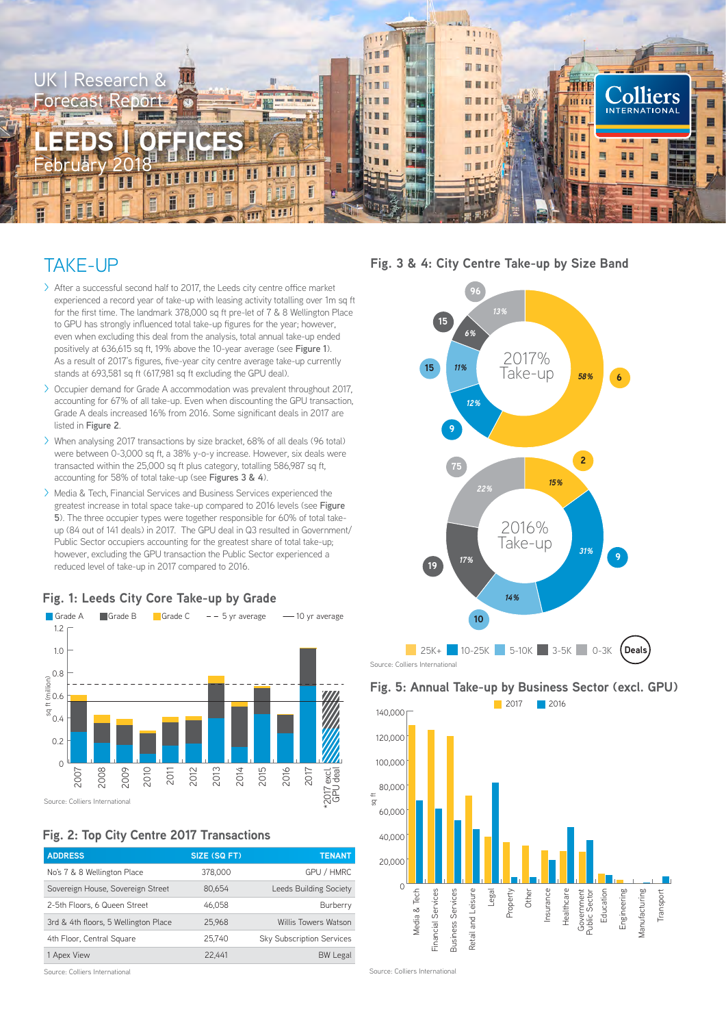

## TAKE-UP

- > After a successful second half to 2017, the Leeds city centre office market experienced a record year of take-up with leasing activity totalling over 1m sq ft for the first time. The landmark 378,000 sq ft pre-let of 7 & 8 Wellington Place to GPU has strongly influenced total take-up figures for the year; however, even when excluding this deal from the analysis, total annual take-up ended positively at 636,615 sq ft, 19% above the 10-year average (see **Figure 1**). As a result of 2017's figures, five-year city centre average take-up currently stands at 693,581 sq ft (617,981 sq ft excluding the GPU deal).
- > Occupier demand for Grade A accommodation was prevalent throughout 2017, accounting for 67% of all take-up. Even when discounting the GPU transaction, Grade A deals increased 16% from 2016. Some significant deals in 2017 are listed in **Figure 2**.
- > When analysing 2017 transactions by size bracket, 68% of all deals (96 total) were between 0-3,000 sq ft, a 38% y-o-y increase. However, six deals were transacted within the 25,000 sq ft plus category, totalling 586,987 sq ft, accounting for 58% of total take-up (see **Figures 3 & 4**).
- > Media & Tech, Financial Services and Business Services experienced the greatest increase in total space take-up compared to 2016 levels (see **Figure 5**). The three occupier types were together responsible for 60% of total takeup (84 out of 141 deals) in 2017. The GPU deal in Q3 resulted in Government/ Public Sector occupiers accounting for the greatest share of total take-up; however, excluding the GPU transaction the Public Sector experienced a reduced level of take-up in 2017 compared to 2016.



#### **Fig. 1: Leeds City Core Take-up by Grade**

**Fig. 2: Top City Centre 2017 Transactions**

| SIZE (SQ FT) | <b>TENANT</b>                    |
|--------------|----------------------------------|
| 378,000      | GPU / HMRC                       |
| 80.654       | Leeds Building Society           |
| 46.058       | Burberry                         |
| 25,968       | Willis Towers Watson             |
| 25,740       | <b>Sky Subscription Services</b> |
| 22.441       | <b>BW Legal</b>                  |
|              |                                  |

Source: Colliers International

**Fig. 3 & 4: City Centre Take-up by Size Band**



### **Fig. 5: Annual Take-up by Business Sector (excl. GPU)**



Source: Colliers International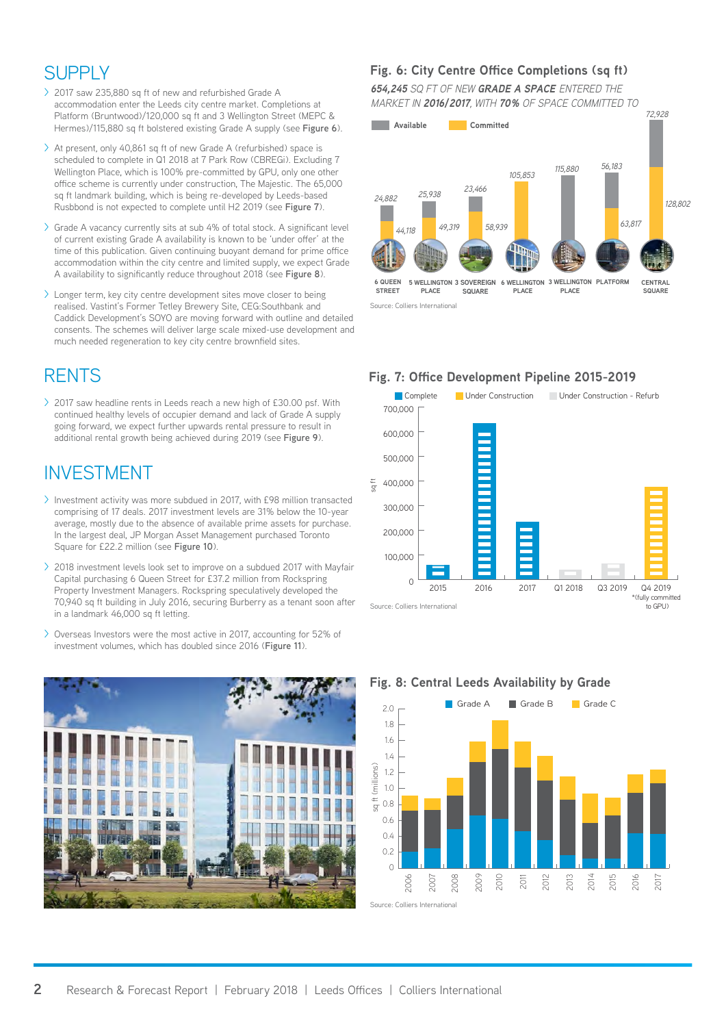# **SUPPI Y**

- > 2017 saw 235,880 sq ft of new and refurbished Grade A accommodation enter the Leeds city centre market. Completions at Platform (Bruntwood)/120,000 sq ft and 3 Wellington Street (MEPC & Hermes)/115,880 sq ft bolstered existing Grade A supply (see **Figure 6**).
- > At present, only 40,861 sq ft of new Grade A (refurbished) space is scheduled to complete in Q1 2018 at 7 Park Row (CBREGi). Excluding 7 Wellington Place, which is 100% pre-committed by GPU, only one other office scheme is currently under construction, The Majestic. The 65,000 sq ft landmark building, which is being re-developed by Leeds-based Rusbbond is not expected to complete until H2 2019 (see **Figure 7**).
- > Grade A vacancy currently sits at sub 4% of total stock. A significant level of current existing Grade A availability is known to be 'under offer' at the time of this publication. Given continuing buoyant demand for prime office accommodation within the city centre and limited supply, we expect Grade A availability to significantly reduce throughout 2018 (see **Figure 8**).
- > Longer term, key city centre development sites move closer to being realised. Vastint's Former Tetley Brewery Site, CEG:Southbank and Caddick Development's SOYO are moving forward with outline and detailed consents. The schemes will deliver large scale mixed-use development and much needed regeneration to key city centre brownfield sites.

## **RENTS**

> 2017 saw headline rents in Leeds reach a new high of £30.00 psf. With continued healthy levels of occupier demand and lack of Grade A supply going forward, we expect further upwards rental pressure to result in additional rental growth being achieved during 2019 (see **Figure 9**).

## INVESTMENT

- > Investment activity was more subdued in 2017, with £98 million transacted comprising of 17 deals. 2017 investment levels are 31% below the 10-year average, mostly due to the absence of available prime assets for purchase. In the largest deal, JP Morgan Asset Management purchased Toronto Square for £22.2 million (see **Figure 10**).
- > 2018 investment levels look set to improve on a subdued 2017 with Mayfair Capital purchasing 6 Queen Street for £37.2 million from Rockspring Property Investment Managers. Rockspring speculatively developed the 70,940 sq ft building in July 2016, securing Burberry as a tenant soon after in a landmark 46,000 sq ft letting.
- > Overseas Investors were the most active in 2017, accounting for 52% of investment volumes, which has doubled since 2016 (**Figure 11**).



### **Fig. 6: City Centre Office Completions (sq ft)**

*654,245 SQ FT OF NEW GRADE A SPACE ENTERED THE MARKET IN 2016/2017, WITH 70% OF SPACE COMMITTED TO*



Source: Colliers International

### **Fig. 7: Office Development Pipeline 2015-2019**





### **Fig. 8: Central Leeds Availability by Grade**

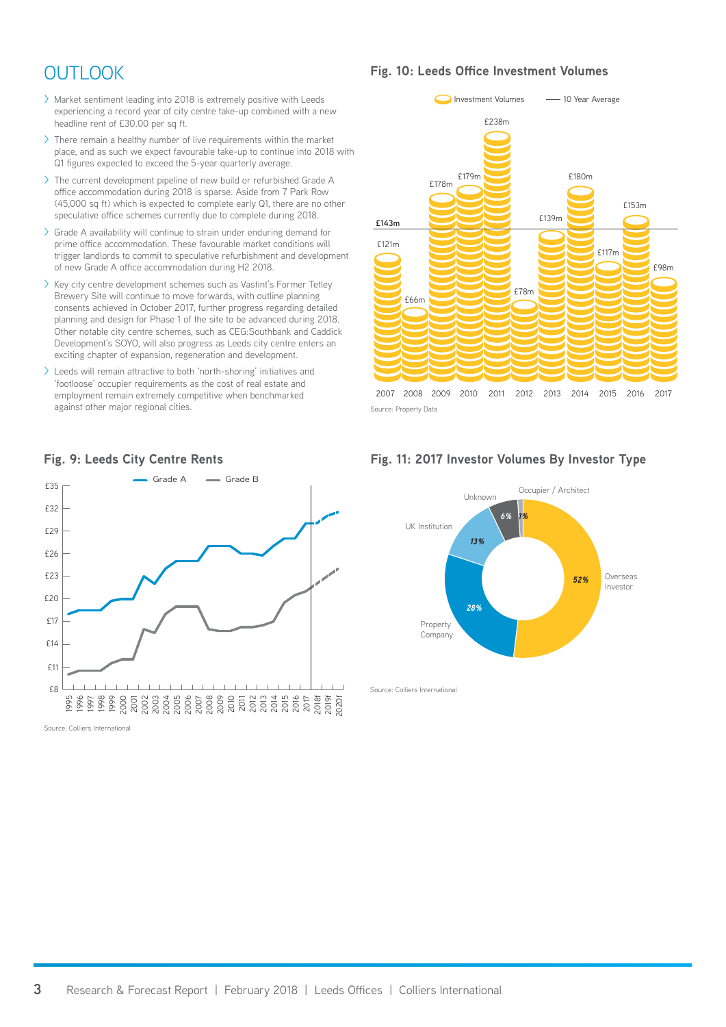# **OUTLOOK**

- > Market sentiment leading into 2018 is extremely positive with Leeds experiencing a record year of city centre take-up combined with a new headline rent of £30.00 per sq ft.
- > There remain a healthy number of live requirements within the market place, and as such we expect favourable take-up to continue into 2018 with Q1 figures expected to exceed the 5-year quarterly average.
- > The current development pipeline of new build or refurbished Grade A office accommodation during 2018 is sparse. Aside from 7 Park Row (45,000 sq ft) which is expected to complete early Q1, there are no other speculative office schemes currently due to complete during 2018.
- > Grade A availability will continue to strain under enduring demand for prime office accommodation. These favourable market conditions will trigger landlords to commit to speculative refurbishment and development of new Grade A office accommodation during H2 2018.
- > Key city centre development schemes such as Vastint's Former Tetley Brewery Site will continue to move forwards, with outline planning consents achieved in October 2017, further progress regarding detailed planning and design for Phase 1 of the site to be advanced during 2018. Other notable city centre schemes, such as CEG:Southbank and Caddick Development's SOYO, will also progress as Leeds city centre enters an exciting chapter of expansion, regeneration and development.
- > Leeds will remain attractive to both 'north-shoring' initiatives and 'footloose' occupier requirements as the cost of real estate and employment remain extremely competitive when benchmarked against other major regional cities.



**Fig. 10: Leeds Office Investment Volumes** 

Source: Property Data







Source: Colliers International

### **Fig. 9: Leeds City Centre Rents**